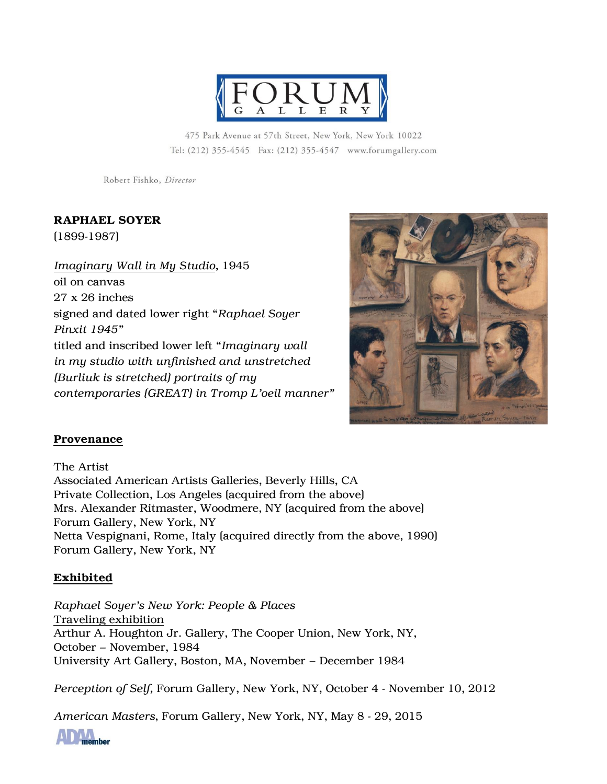

475 Park Avenue at 57th Street, New York, New York 10022 Tel: (212) 355-4545 Fax: (212) 355-4547 www.forumgallery.com

Robert Fishko, Director

## RAPHAEL SOYER

(1899-1987)

*Imaginary Wall in My Studio*, 1945 oil on canvas 27 x 26 inches signed and dated lower right "*Raphael Soyer Pinxit 1945"* titled and inscribed lower left "*Imaginary wall in my studio with unfinished and unstretched (Burliuk is stretched) portraits of my contemporaries (GREAT) in Tromp L'oeil manner"*



### Provenance

The Artist Associated American Artists Galleries, Beverly Hills, CA Private Collection, Los Angeles (acquired from the above) Mrs. Alexander Ritmaster, Woodmere, NY (acquired from the above) Forum Gallery, New York, NY Netta Vespignani, Rome, Italy (acquired directly from the above, 1990) Forum Gallery, New York, NY

### Exhibited

*Raphael Soyer's New York: People & Places* Traveling exhibition Arthur A. Houghton Jr. Gallery, The Cooper Union, New York, NY, October – November, 1984 University Art Gallery, Boston, MA, November – December 1984

*Perception of Self,* Forum Gallery, New York, NY, October 4 - November 10, 2012

*American Masters*, Forum Gallery, New York, NY, May 8 - 29, 2015

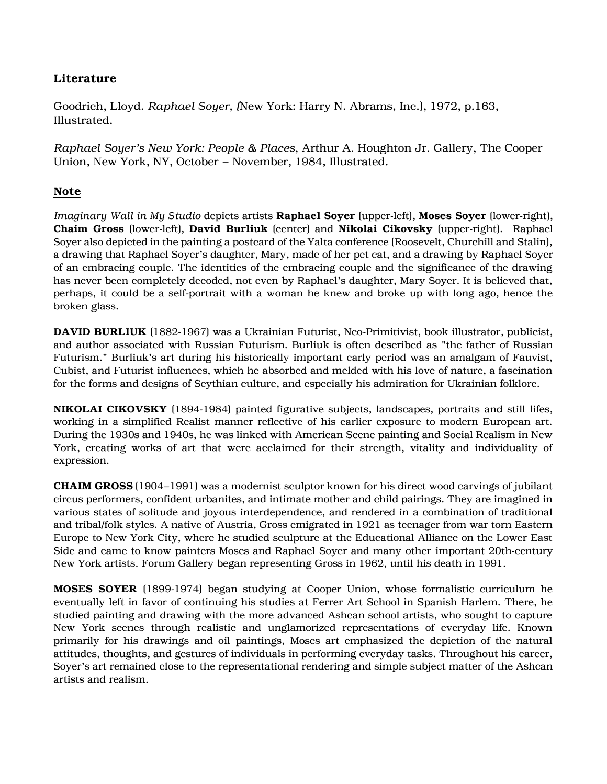# Literature

Goodrich, Lloyd. *Raphael Soyer, (*New York: Harry N. Abrams, Inc.), 1972, p.163, Illustrated.

*Raphael Soyer's New York: People & Places*, Arthur A. Houghton Jr. Gallery, The Cooper Union, New York, NY, October – November, 1984, Illustrated.

### Note

*Imaginary Wall in My Studio* depicts artists Raphael Soyer (upper-left), Moses Soyer (lower-right), Chaim Gross (lower-left), David Burliuk (center) and Nikolai Cikovsky (upper-right). Raphael Soyer also depicted in the painting a postcard of the Yalta conference (Roosevelt, Churchill and Stalin), a drawing that Raphael Soyer's daughter, Mary, made of her pet cat, and a drawing by Raphael Soyer of an embracing couple. The identities of the embracing couple and the significance of the drawing has never been completely decoded, not even by Raphael's daughter, Mary Soyer. It is believed that, perhaps, it could be a self-portrait with a woman he knew and broke up with long ago, hence the broken glass.

DAVID BURLIUK (1882-1967) was a Ukrainian Futurist, Neo-Primitivist, book illustrator, publicist, and author associated with Russian Futurism. Burliuk is often described as "the father of Russian Futurism." Burliuk's art during his historically important early period was an amalgam of Fauvist, Cubist, and Futurist influences, which he absorbed and melded with his love of nature, a fascination for the forms and designs of Scythian culture, and especially his admiration for Ukrainian folklore.

NIKOLAI CIKOVSKY (1894-1984) painted figurative subjects, landscapes, portraits and still lifes, working in a simplified Realist manner reflective of his earlier exposure to modern European art. During the 1930s and 1940s, he was linked with American Scene painting and Social Realism in New York, creating works of art that were acclaimed for their strength, vitality and individuality of expression.

CHAIM GROSS (1904–1991) was a modernist sculptor known for his direct wood carvings of jubilant circus performers, confident urbanites, and intimate mother and child pairings. They are imagined in various states of solitude and joyous interdependence, and rendered in a combination of traditional and tribal/folk styles. A native of Austria, Gross emigrated in 1921 as teenager from war torn Eastern Europe to New York City, where he studied sculpture at the Educational Alliance on the Lower East Side and came to know painters Moses and Raphael Soyer and many other important 20th-century New York artists. Forum Gallery began representing Gross in 1962, until his death in 1991.

MOSES SOYER (1899-1974) began studying at Cooper Union, whose formalistic curriculum he eventually left in favor of continuing his studies at Ferrer Art School in Spanish Harlem. There, he studied painting and drawing with the more advanced Ashcan school artists, who sought to capture New York scenes through realistic and unglamorized representations of everyday life. Known primarily for his drawings and oil paintings, Moses art emphasized the depiction of the natural attitudes, thoughts, and gestures of individuals in performing everyday tasks. Throughout his career, Soyer's art remained close to the representational rendering and simple subject matter of the Ashcan artists and realism.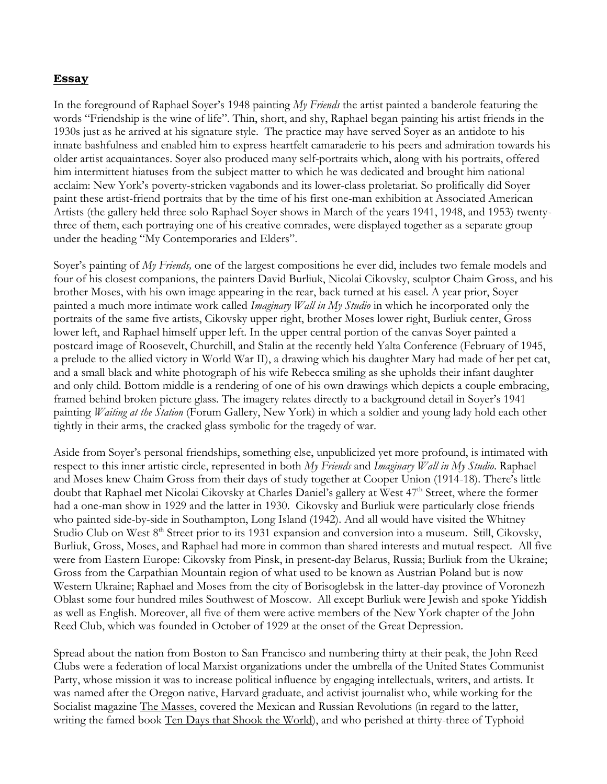### Essay

In the foreground of Raphael Soyer's 1948 painting *My Friends* the artist painted a banderole featuring the words "Friendship is the wine of life". Thin, short, and shy, Raphael began painting his artist friends in the 1930s just as he arrived at his signature style. The practice may have served Soyer as an antidote to his innate bashfulness and enabled him to express heartfelt camaraderie to his peers and admiration towards his older artist acquaintances. Soyer also produced many self-portraits which, along with his portraits, offered him intermittent hiatuses from the subject matter to which he was dedicated and brought him national acclaim: New York's poverty-stricken vagabonds and its lower-class proletariat. So prolifically did Soyer paint these artist-friend portraits that by the time of his first one-man exhibition at Associated American Artists (the gallery held three solo Raphael Soyer shows in March of the years 1941, 1948, and 1953) twentythree of them, each portraying one of his creative comrades, were displayed together as a separate group under the heading "My Contemporaries and Elders".

Soyer's painting of *My Friends,* one of the largest compositions he ever did, includes two female models and four of his closest companions, the painters David Burliuk, Nicolai Cikovsky, sculptor Chaim Gross, and his brother Moses, with his own image appearing in the rear, back turned at his easel. A year prior, Soyer painted a much more intimate work called *Imaginary Wall in My Studio* in which he incorporated only the portraits of the same five artists, Cikovsky upper right, brother Moses lower right, Burliuk center, Gross lower left, and Raphael himself upper left. In the upper central portion of the canvas Soyer painted a postcard image of Roosevelt, Churchill, and Stalin at the recently held Yalta Conference (February of 1945, a prelude to the allied victory in World War II), a drawing which his daughter Mary had made of her pet cat, and a small black and white photograph of his wife Rebecca smiling as she upholds their infant daughter and only child. Bottom middle is a rendering of one of his own drawings which depicts a couple embracing, framed behind broken picture glass. The imagery relates directly to a background detail in Soyer's 1941 painting *Waiting at the Station* (Forum Gallery, New York) in which a soldier and young lady hold each other tightly in their arms, the cracked glass symbolic for the tragedy of war.

Aside from Soyer's personal friendships, something else, unpublicized yet more profound, is intimated with respect to this inner artistic circle, represented in both *My Friends* and *Imaginary Wall in My Studio*. Raphael and Moses knew Chaim Gross from their days of study together at Cooper Union (1914-18). There's little doubt that Raphael met Nicolai Cikovsky at Charles Daniel's gallery at West 47<sup>th</sup> Street, where the former had a one-man show in 1929 and the latter in 1930. Cikovsky and Burliuk were particularly close friends who painted side-by-side in Southampton, Long Island (1942). And all would have visited the Whitney Studio Club on West 8<sup>th</sup> Street prior to its 1931 expansion and conversion into a museum. Still, Cikovsky, Burliuk, Gross, Moses, and Raphael had more in common than shared interests and mutual respect. All five were from Eastern Europe: Cikovsky from Pinsk, in present-day Belarus, Russia; Burliuk from the Ukraine; Gross from the Carpathian Mountain region of what used to be known as Austrian Poland but is now Western Ukraine; Raphael and Moses from the city of Borisoglebsk in the latter-day province of Voronezh Oblast some four hundred miles Southwest of Moscow. All except Burliuk were Jewish and spoke Yiddish as well as English. Moreover, all five of them were active members of the New York chapter of the John Reed Club, which was founded in October of 1929 at the onset of the Great Depression.

Spread about the nation from Boston to San Francisco and numbering thirty at their peak, the John Reed Clubs were a federation of local Marxist organizations under the umbrella of the United States Communist Party, whose mission it was to increase political influence by engaging intellectuals, writers, and artists. It was named after the Oregon native, Harvard graduate, and activist journalist who, while working for the Socialist magazine The Masses, covered the Mexican and Russian Revolutions (in regard to the latter, writing the famed book Ten Days that Shook the World), and who perished at thirty-three of Typhoid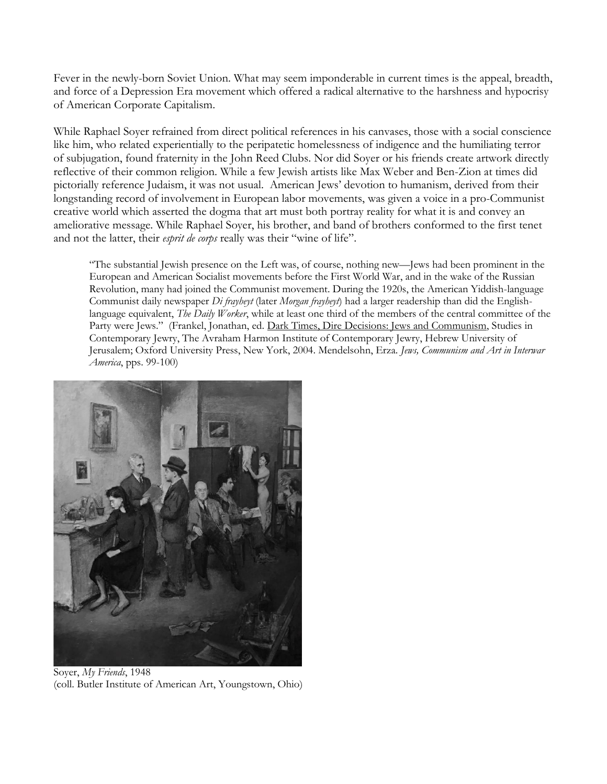Fever in the newly-born Soviet Union. What may seem imponderable in current times is the appeal, breadth, and force of a Depression Era movement which offered a radical alternative to the harshness and hypocrisy of American Corporate Capitalism.

While Raphael Soyer refrained from direct political references in his canvases, those with a social conscience like him, who related experientially to the peripatetic homelessness of indigence and the humiliating terror of subjugation, found fraternity in the John Reed Clubs. Nor did Soyer or his friends create artwork directly reflective of their common religion. While a few Jewish artists like Max Weber and Ben-Zion at times did pictorially reference Judaism, it was not usual. American Jews' devotion to humanism, derived from their longstanding record of involvement in European labor movements, was given a voice in a pro-Communist creative world which asserted the dogma that art must both portray reality for what it is and convey an ameliorative message. While Raphael Soyer, his brother, and band of brothers conformed to the first tenet and not the latter, their *esprit de corps* really was their "wine of life".

"The substantial Jewish presence on the Left was, of course, nothing new—Jews had been prominent in the European and American Socialist movements before the First World War, and in the wake of the Russian Revolution, many had joined the Communist movement. During the 1920s, the American Yiddish-language Communist daily newspaper *Di frayheyt* (later *Morgan frayheyt*) had a larger readership than did the Englishlanguage equivalent, *The Daily Worker*, while at least one third of the members of the central committee of the Party were Jews." (Frankel, Jonathan, ed. Dark Times, Dire Decisions: Jews and Communism, Studies in Contemporary Jewry, The Avraham Harmon Institute of Contemporary Jewry, Hebrew University of Jerusalem; Oxford University Press, New York, 2004. Mendelsohn, Erza. *Jews, Communism and Art in Interwar America*, pps. 99-100)



Soyer, *My Friends*, 1948 (coll. Butler Institute of American Art, Youngstown, Ohio)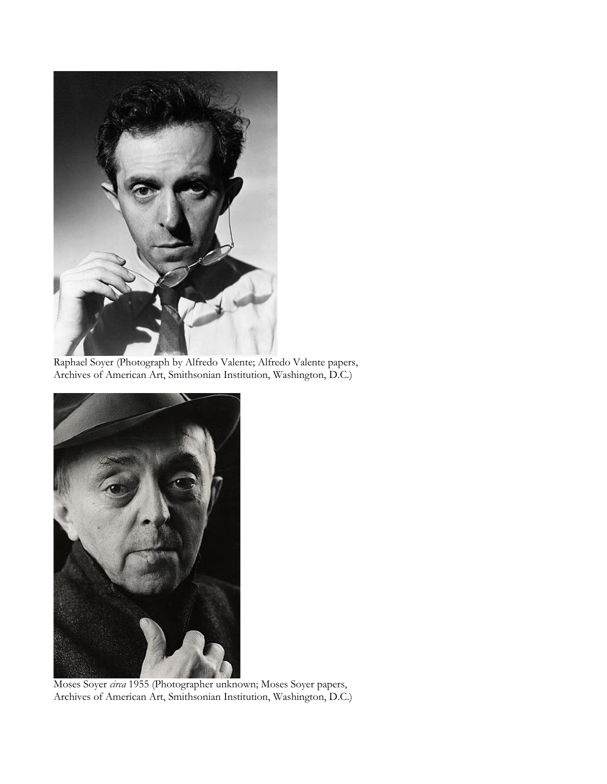

Raphael Soyer (Photograph by Alfredo Valente; Alfredo Valente papers, Archives of American Art, Smithsonian Institution, Washington, D.C.)



Moses Soyer *circa* 1955 (Photographer unknown; Moses Soyer papers, Archives of American Art, Smithsonian Institution, Washington, D.C.)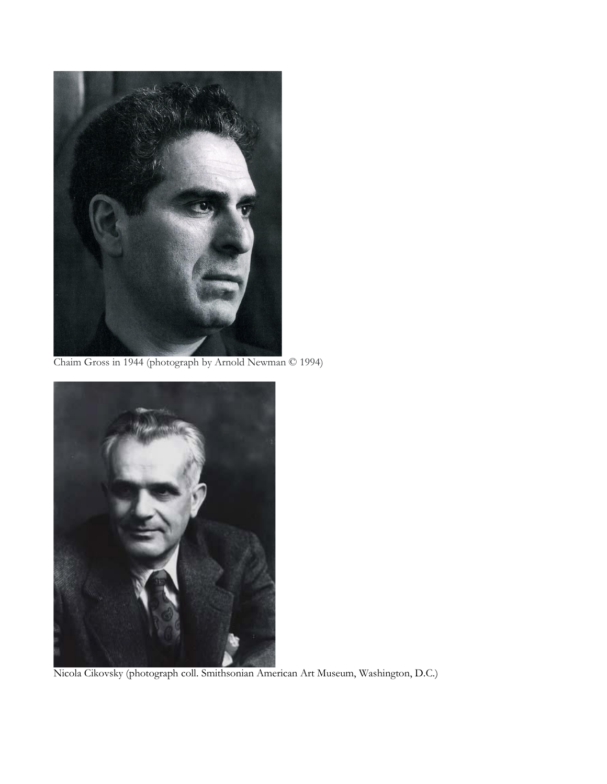

Chaim Gross in 1944 (photograph by Arnold Newman © 1994)



Nicola Cikovsky (photograph coll. Smithsonian American Art Museum, Washington, D.C.)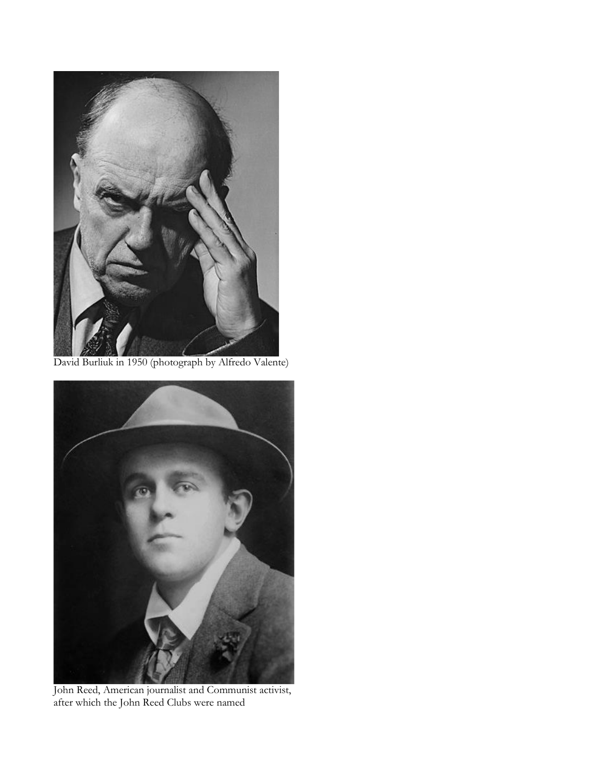

David Burliuk in 1950 (photograph by Alfredo Valente)



John Reed, American journalist and Communist activist, after which the John Reed Clubs were named